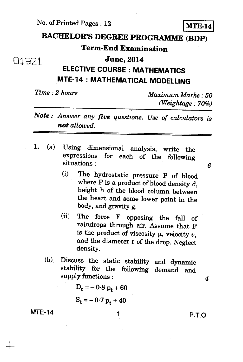No. of Printed Pages : 12 **MTE-14** 

## **BACHELOR'S DEGREE PROGRAMME (BDP)**

### **Term-End Examination**

### 01921 **June, 2014**

## **ELECTIVE COURSE : MATHEMATICS MTE-14 : MATHEMATICAL MODELLING**

*Time : 2 hours Maximum Marks : 50 (Weightage : 70%)* 

## *Note : Answer any five questions. Use of calculators is not allowed.*

*1. (a)* Using dimensional analysis, write the expressions for each of the following situations :

*6* 

- (i) The hydrostatic pressure P of blood where P is a product of blood density d, height h of the blood column between the heart and some lower point in the body, and gravity g.
- (ii) The force F opposing the fall of raindrops through air. Assume that F is the product of viscosity  $\mu$ , velocity  $v$ , and the diameter r of the drop. Neglect density.
- (b) Discuss the static stability and dynamic stability for the following demand and supply functions :

$$
D_t = -0.8 p_t + 60
$$

$$
S_t = -0.7 p_t + 40
$$

**MTE-14** 1 **1** P.T.O.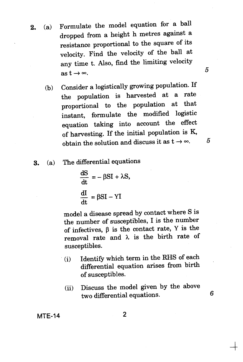- **2.** (a) Formulate the model equation for a ball dropped from a height h metres against a resistance proportional to the square of its velocity. Find the velocity of the ball at any time t. Also, find the limiting velocity  $\lim_{x \to \infty} \frac{1}{x}$   $\lim_{x \to \infty}$  5
	- (b) Consider a logistically growing population. If the population is harvested at a rate proportional to the population at that instant, formulate the modified logistic equation taking into account the effect of harvesting. If the initial population is K, obtain the solution and discuss it as  $t \to \infty$ . 5
	- **3.** (a) The differential equations

$$
\frac{dS}{dt} = -\beta SI + \lambda S,
$$

$$
\frac{dI}{dt} = \beta SI - YI
$$

model a disease spread by contact where S is the number of susceptibles, I is the number of infectives,  $\beta$  is the contact rate, Y is the removal rate and  $\lambda$  is the birth rate of susceptibles.

- (i) Identify which term in the RHS of each differential equation arises from birth of susceptibles.
	- (ii) Discuss the model given by the above two differential equations. 6

**MTE-14** 2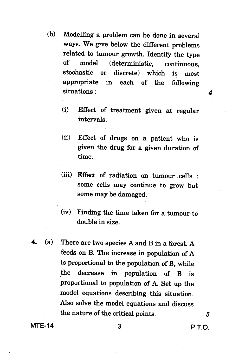- (b) Modelling a problem can be done in several ways. We give below the different problems related to tumour growth. Identify the type of model (deterministic, continuous, stochastic or discrete) which is most appropriate in each of the following situations :
	- (i) Effect of treatment given at regular intervals.
	- (ii) Effect of drugs on a patient who is given the drug for a given duration of time.
	- (iii) Effect of radiation on tumour cells : some cells may continue to grow but some may be damaged.
	- (iv) Finding the time taken for a tumour to double in size.
- **4.** (a) There are two species A and B in a forest. A feeds on B. The increase in population of A is proportional to the population of B, while the decrease in population of B is proportional to population of A. Set up the model equations describing this situation. Also solve the model equations and discuss the nature of the critical points.  $5$

**MTE-14** 3 **P.T.O.**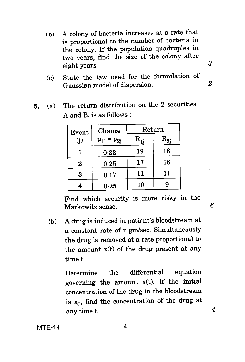- (b) A colony of bacteria increases at a rate that is proportional to the number of bacteria in the colony. If the population quadruples in two years, find the size of the colony after eight years.
- (c) State the law used for the formulation of Gaussian model of dispersion.
- 5. (a) The return distribution on the 2 securities A and B, is as follows :

| Event    | Chance<br>$p_{1j} = p_{2j}$ | Return |          |
|----------|-----------------------------|--------|----------|
|          |                             |        | $R_{2i}$ |
|          | 0.33                        | 19     | 18       |
| $\bf{2}$ | 0.25                        | 17     | 16       |
| 3        | 0.17                        | 11     | 11       |
|          | 0.25                        | 10     | 9        |

Find which security is more risky in the Markowitz sense. *6* 

(b) A drug is induced in patient's bloodstream at a constant rate of r gm/sec. Simultaneously the drug is removed at a rate proportional to the amount x(t) of the drug present at any time t.

> Determine the differential equation governing the amount x(t). If the initial concentration of the drug in the bloodstream is  $x_0$ , find the concentration of the drug at any time t.

**MTE-14** 4

3

*2* 

 $\boldsymbol{4}$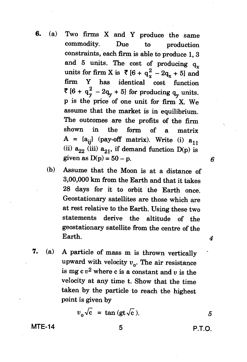- **6. (a) Two firms X and Y produce the same commodity. Due to production constraints, each firm is able to produce 1, 3**  and 5 units. The cost of producing  $q_x$ **units for firm X is ₹ [6 +**  $q_x^2 - 2q_x + 5$ **] and firm Y has identical cost function ₹**  $[6 + q_v^2 - 2q_v + 5]$  for producing  $q_v$  units. **p is the price of one unit for firm X. We assume that the market is in equilibrium. The outcomes are the profits of the firm shown in the form of a matrix**   $A = {a_{ij}}$  (pay-off matrix). Write (i)  $a_{11}$  $\binom{1}{1}$   $a_{22}$  (iii)  $a_{21}$ , if demand function D(p) is **given as D(p) = 50 – p.** 6
	- **(b) Assume that the Moon is at a distance of 3,00,000 km from the Earth and that it takes 28 days for it to orbit the Earth once. Geostationary satellites are those which are at rest relative to the Earth. Using these two statements derive the altitude of the geostationary satellite from the centre of the Earth.** *4*
- **7. (a) A particle of mass m is thrown vertically**  upward with velocity  $v_o$ . The air resistance is  $mg c v^2$  where c is a constant and  $v$  is the **velocity at any time t. Show that the time taken by the particle to reach the highest point is given by**

 $v_0 \sqrt{\mathbf{c}} = \tan (\mathbf{gt} \sqrt{\mathbf{c}}).$  *5* 

**MTE-14** 5 **P.T.O.**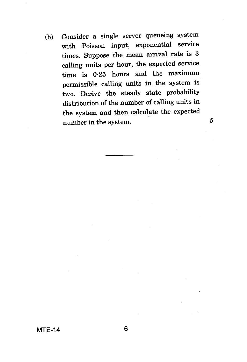(b) Consider a single server queueing system with Poisson input, exponential service times. Suppose the mean arrival rate is 3 calling units per hour, the expected service time is 0.25 hours and the maximum permissible calling units in the system is two. Derive the steady state probability distribution of the number of calling units in the system and then calculate the expected number in the system.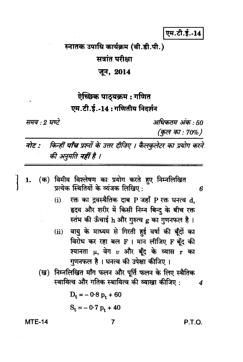## एम.टी.ई.-14

# स्नातक उपाधि कार्यक्रम (बी.डी.पी.)

## सत्रांत परीक्षा

#### जून, 2014

## ऐच्छिक पाठ्यक्रम : गणित एम.टी.ई.-14: गणितीय निदर्शन

समय : २ घण्टे

अधिकतम् अंक 50 (कुल का : 70%)

किन्हीं **पाँच** प्रश्नों के उत्तर दीजिए । कैलकुलेटर का प्रयोग करने नोट : की अनुमति नहीं है ।

- (क) विमीय विश्लेषण का प्रयोग करते हए निम्नलिखित 1. प्रत्येक स्थितियों के व्यंजक लिखिए:
	- रक्त का द्रवस्थैतिक दाब P जहाँ P रक्त घनत्व d,  $(i)$ हृदय और शरीर में किसी निम्न बिन्द के बीच रक्त स्तंभ की ऊँचाई h और गुरुत्व g का गुणनफल है।
	- वायु के माध्यम से गिरती हुई वर्षा की बूँदों का  $(ii)$ विरोध कर रहा बल F । मान लीजिए F बूँद की श्यानता  $\mu$ , वेग  $v$  और बूँद के व्यास  ${\bf r}$  का गुणनफल है। घनत्व की उपेक्षा कीजिए।
	- (ख) निम्नलिखित माँग फलन और पूर्ति फलन के लिए स्थैतिक स्थायित्व और गतिक स्थायित्व की व्याखा कीजिए:

 $D_t = -0.8 p_t + 60$ 

$$
S_t = -0.7 p_t + 40
$$

#### **MTE-14**

7

P.T.O.

4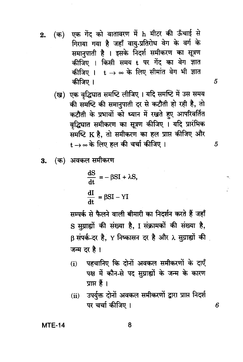एक गेंद को वातावरण में h मीटर की ऊँचाई से (क)  $2.$ गिराया गया है जहाँ वाय्-प्रतिरोध वेग के वर्ग के समानपाती है । इसके निदर्श समीकरण का सूत्रण कीजिए । किसी समय t पर गेंद का वेग ज्ञात कीजिए ।  $t\rightarrow \infty$  के लिए सीमांत वेग भी ज्ञात कीजिए ।

(ख) एक वृद्धिघात समष्टि लीजिए। यदि समष्टि में उस समय की समष्टि की समानुपाती दर से कटौती हो रही है, तो कटौती के प्रभावों को ध्यान में रखते हुए आपरिवर्तित वृद्धिघात समीकरण का सूत्रण कीजिए । यदि प्रारंभिक समष्टि K है, तो समीकरण का हल प्राप्त कीजिए और  $t\rightarrow \infty$  के लिए हल की चर्चा कीजिए।

 $\overline{5}$ 

 $\overline{5}$ 

6

(क) अवकल समीकरण 3.

$$
\frac{dS}{dt} = -\beta SI + \lambda S,
$$

$$
\frac{dI}{dt} = \beta SI - YI
$$

सम्पर्क से फैलने वाली बीमारी का निर्दर्शन करते हैं जहाँ S सुग्राह्यों की संख्या है, I संक्रामकों की संख्या है, B संपर्क-दर है, Y निष्कासन दर है और 2 सुग्राह्यों की जन्म दर है।

- पहचानिए कि दोनों अवकल समीकरणों के दाएँ  $(i)$ पक्ष में कौन-से पद सुग्राह्यों के जन्म के कारण प्राप्त हैं ।
- उपर्युक्त दोनों अवकल समीकरणों द्वारा प्राप्त निदर्श  $(ii)$ पर चर्चा कीजिए ।

**MTE-14**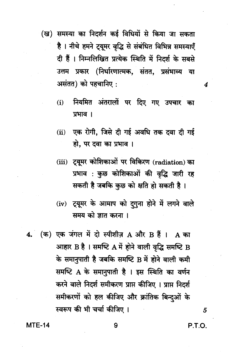- (ख) समस्या का निदर्शन कई विधियों से किया जा सकता है । नीचे हमने ट्यूमर वृद्धि से संबंधित विभिन्न समस्याएँ दी हैं। निम्नलिखित प्रत्येक स्थिति में निदर्श के सबसे उत्तम प्रकार (निर्धारणात्मक, संतत, प्रसंभाव्य या असंतत) को पहचानिए :
	- नियमित अंतरालों पर दिए गए उपचार का  $(i)$ प्रभाव ।
	- एक रोगी, जिसे दी गई अवधि तक दवा दी गई  $(ii)$ हो, पर दवा का प्रभाव ।
	- (iii) ट्यूमर कोशिकाओं पर विकिरण (radiation) का प्रभाव : कुछ कोशिकाओं की वृद्धि जारी रह सकती है जबकि कुछ को क्षति हो सकती है।
	- (iv) ट्यूमर के आमाप को दगुना होने में लगने वाले समय को ज्ञात करना ।
- 4.  $(\overline{a})$  एक जंगल में दो स्पीशीज़ A और B हैं | A का आहार B है। समष्टि A में होने वाली वृद्धि समष्टि B के समानूपाती है जबकि समष्टि B में होने वाली कमी समष्टि A के समानुपाती है । इस स्थिति का वर्णन करने वाले निदर्श समीकरण प्राप्त कीजिए । प्राप्त निदर्श समीकरणों को हल कीजिए और क्रांतिक बिन्दुओं के स्वरूप की भी चर्चा कीजिए ।

**MTE-14** 

P.T.O.

5

4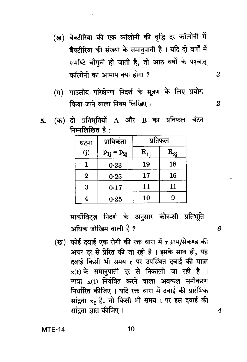- (ख) बैक्टीरिया की एक कॉलोनी की वृद्धि दर कॉलोनी में बैक्टीरिया की संख्या के समानुपाती है। यदि दो वर्षों में समष्टि चौगुनी हो जाती है, तो आठ वर्षों के पश्चात् कॉलोनी का आमाप क्या होगा ?
- (ग) गाउसीय परिक्षेपण निदर्श के सूत्रण के लिए प्रयोग किया जाने वाला नियम लिखिए।
- (क) दो प्रतिभूतियों A और B का प्रतिफल बंटन 5. निम्नलिखित है $\cdot$

| घटना           | प्रायिकता         | प्रतिफल |              |
|----------------|-------------------|---------|--------------|
| (i)            | $p_{1j} = p_{2j}$ | R.      | $\rm R_{2j}$ |
|                | 0.33              | 19      | 18           |
| $\overline{2}$ | 0.25              | 17      | 16           |
| 3              | 0.17              | 11      | 11           |
|                | 0.25              | 10      | 9            |

मार्कोविट्ज़ निदर्श के अनुसार कौन-सी प्रतिभूति अधिक जोख़िम वाली है ?

(ख) कोई दवाई एक रोगी की रक्त धारा में r ग्राम/सेकण्ड की अचर दर से प्रेरित की जा रही है। इसके साथ ही, यह दवाई किसी भी समय t पर उपस्थित दवाई की मात्रा  $x(t)$  के समानुपाती दर से निकाली जा रही है । मात्रा x(t) नियंत्रित करने वाला अवकल समीकरण निर्धारित कीजिए । यदि रक्त धारा में दवाई की प्रारंभिक सांद्रता x0 है, तो किसी भी समय t पर इस दवाई की सांदता ज्ञात कीजिए ।

**MTE-14** 

 $10$ 

6

4

3

 $\overline{2}$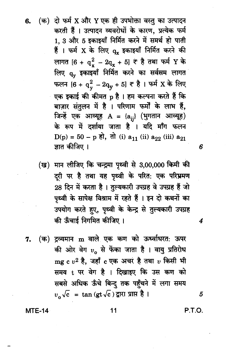(क) दो फर्म X और Y एक ही उपभोक्ता वस्तु का उत्पादन करती हैं । उत्पादन व्यवरोधों के कारण, प्रत्येक फर्म 1. 3 और 5 इकाइयाँ निर्मित करने में समर्थ हो पाती हैं । फर्म X के लिए  $q_x$  इकाइयाँ निर्मित करने की लागत [6 +  $q_x^2 - 2q_x + 5$ ]  $\neq \xi$  तथा फर्म Y के लिए q<sub>y</sub> इकाइयाँ निर्मित करने का सर्वसम लागत फलन [6 +  $q_y^2 - 2q_y + 5$ ]  $\vec{\tau}$  है । फर्म X के लिए एक इकाई की कीमत p है । हम कल्पना करते हैं कि बाज़ार संतुलन में है । परिणाम फर्मों के लाभ हैं. जिन्हें एक आव्यूह A = {a<sub>ij</sub>} (भुगतान आव्यूह) के रूप में दर्शाया जाता है । यदि माँग फलन D(p) = 50 - p हो, तो (i)  $a_{11}$  (ii)  $a_{22}$  (iii)  $a_{21}$ ज्ञात कीजिए ।

(ख) मान लीजिए कि चन्द्रमा पृथ्वी से 3,00,000 किमी की दूरी पर है तथा यह पृथ्वी के परित: एक परिभ्रमण 28 दिन में करता है। तुल्यकारी उपग्रह वे उपग्रह हैं जो पृथ्वी के सापेक्ष विश्राम में रहते हैं । इन दो कथनों का उपयोग करते हुए, पृथ्वी के केन्द्र से तुल्यकारी उपग्रह की ऊँचाई निगमित कीजिए।

(क) द्रव्यमान m वाले एक कण को ऊर्ध्वाधरत: ऊपर 7. की ओर वेग  $v_0$  से फेंका जाता है। वायु प्रतिरोध mg c  $v^2$  है. जहाँ c एक अचर है तथा  $v$  किसी भी समय t पर वेग है । दिखाइए कि उस कण को सबसे अधिक ऊँचे बिन्दु तक पहुँचने में लगा समय  $v_{o}$  $\sqrt{c}$  = tan (gt $\sqrt{c}$ ) द्वारा प्राप्त है ।

**MTE-14** 

6.

5

6

4